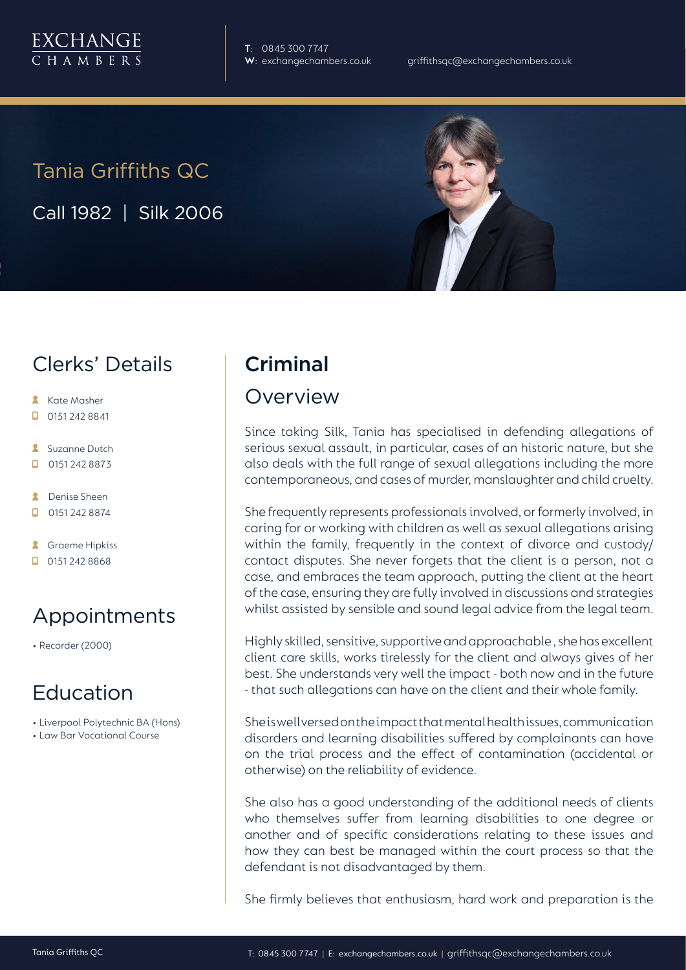**T**: 0845 300 7747

# Tania Griffiths QC

Call 1982 | Silk 2006

### Clerks' Details

- **Kate Masher**
- $\Box$  0151 242 8841
- **Suzanne Dutch**
- $\Box$ 0151 242 8873
- **A** Denise Sheen
- $\Box$  0151 242 8874
- **A** Graeme Hipkiss
- $\Box$  0151 242 8868

### Appointments

• Recorder (2000)

#### Education

- Liverpool Polytechnic BA (Hons)
- Law Bar Vocational Course

## Criminal

#### Overview

Since taking Silk, Tania has specialised in defending allegations of serious sexual assault, in particular, cases of an historic nature, but she also deals with the full range of sexual allegations including the more contemporaneous, and cases of murder, manslaughter and child cruelty.

She frequently represents professionals involved, or formerly involved, in caring for or working with children as well as sexual allegations arising within the family, frequently in the context of divorce and custody/ contact disputes. She never forgets that the client is a person, not a case, and embraces the team approach, putting the client at the heart of the case, ensuring they are fully involved in discussions and strategies whilst assisted by sensible and sound legal advice from the legal team.

Highly skilled, sensitive, supportive and approachable , she has excellent client care skills, works tirelessly for the client and always gives of her best. She understands very well the impact - both now and in the future - that such allegations can have on the client and their whole family.

She is well versed on the impact that mental health issues, communication disorders and learning disabilities suffered by complainants can have on the trial process and the effect of contamination (accidental or otherwise) on the reliability of evidence.

She also has a good understanding of the additional needs of clients who themselves suffer from learning disabilities to one degree or another and of specific considerations relating to these issues and how they can best be managed within the court process so that the defendant is not disadvantaged by them.

She firmly believes that enthusiasm, hard work and preparation is the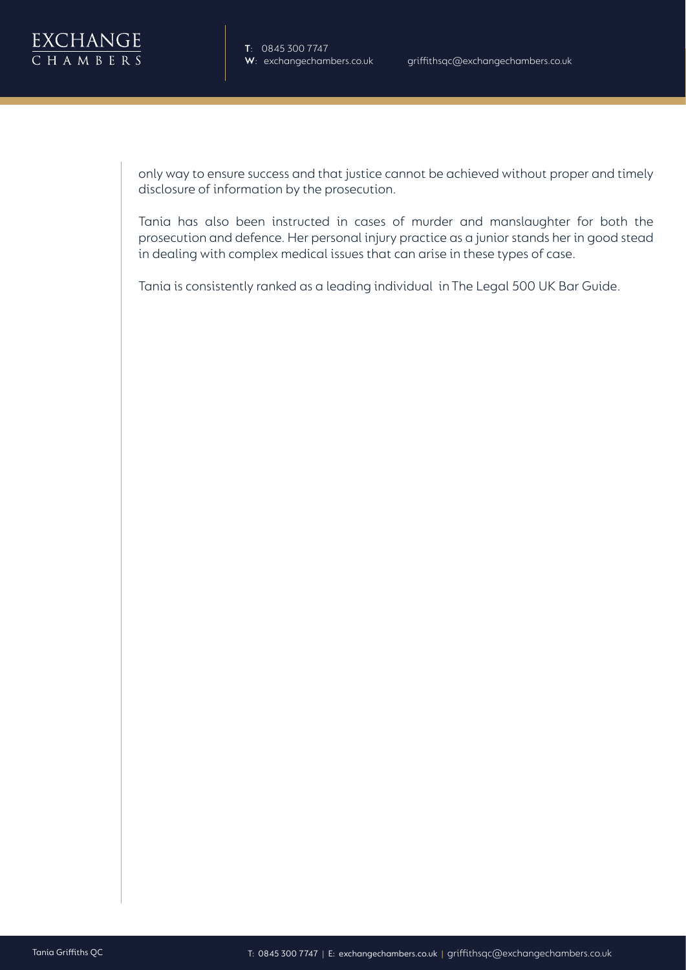

**T**: 0845 300 7747

only way to ensure success and that justice cannot be achieved without proper and timely disclosure of information by the prosecution.

Tania has also been instructed in cases of murder and manslaughter for both the prosecution and defence. Her personal injury practice as a junior stands her in good stead in dealing with complex medical issues that can arise in these types of case.

Tania is consistently ranked as a leading individual in The Legal 500 UK Bar Guide.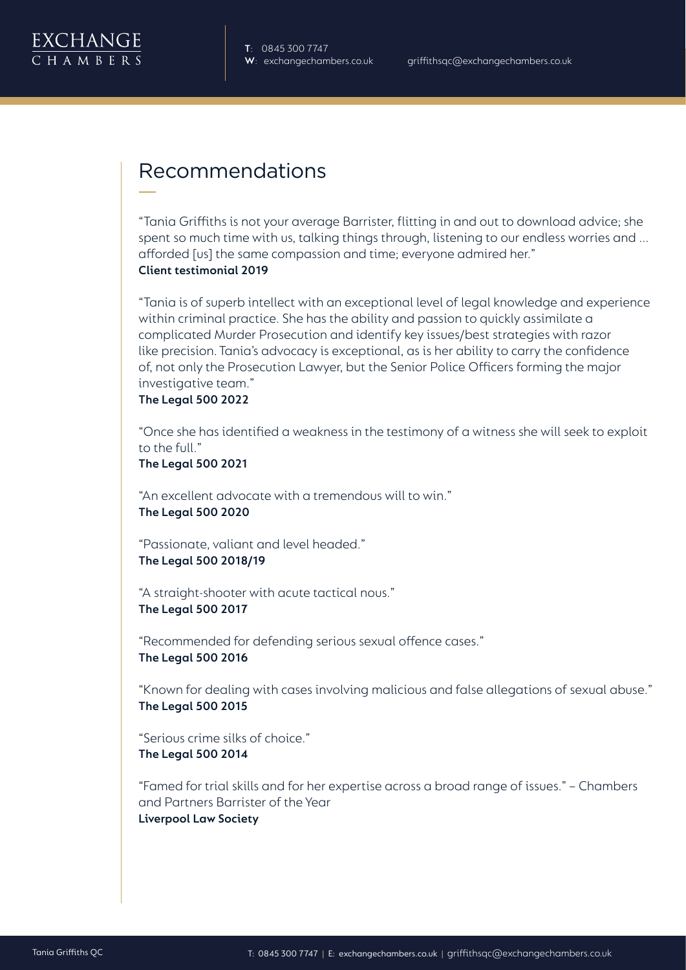

#### Recommendations

"Tania Griffiths is not your average Barrister, flitting in and out to download advice; she spent so much time with us, talking things through, listening to our endless worries and ... afforded [us] the same compassion and time; everyone admired her." **Client testimonial 2019**

"Tania is of superb intellect with an exceptional level of legal knowledge and experience within criminal practice. She has the ability and passion to quickly assimilate a complicated Murder Prosecution and identify key issues/best strategies with razor like precision. Tania's advocacy is exceptional, as is her ability to carry the confidence of, not only the Prosecution Lawyer, but the Senior Police Officers forming the major investigative team."

#### **The Legal 500 2022**

"Once she has identified a weakness in the testimony of a witness she will seek to exploit to the full."

**The Legal 500 2021**

"An excellent advocate with a tremendous will to win." **The Legal 500 2020**

"Passionate, valiant and level headed." **The Legal 500 2018/19**

"A straight-shooter with acute tactical nous." **The Legal 500 2017**

"Recommended for defending serious sexual offence cases." **The Legal 500 2016**

"Known for dealing with cases involving malicious and false allegations of sexual abuse." **The Legal 500 2015**

"Serious crime silks of choice." **The Legal 500 2014**

"Famed for trial skills and for her expertise across a broad range of issues." – Chambers and Partners Barrister of the Year **Liverpool Law Society**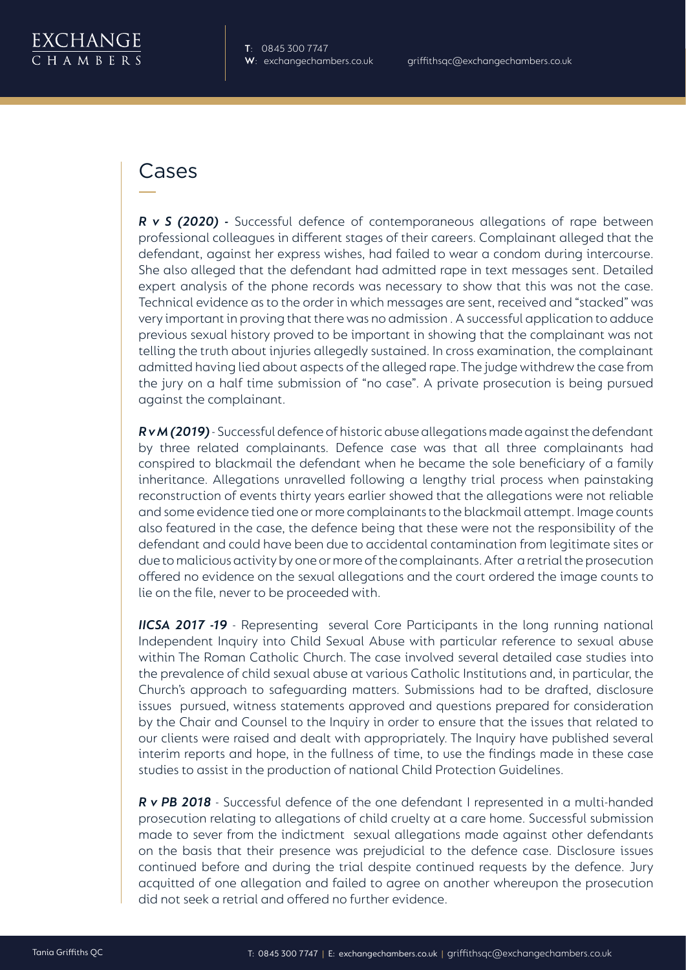

#### Cases

*R v S (2020) -* Successful defence of contemporaneous allegations of rape between professional colleagues in different stages of their careers. Complainant alleged that the defendant, against her express wishes, had failed to wear a condom during intercourse. She also alleged that the defendant had admitted rape in text messages sent. Detailed expert analysis of the phone records was necessary to show that this was not the case. Technical evidence as to the order in which messages are sent, received and "stacked" was very important in proving that there was no admission . A successful application to adduce previous sexual history proved to be important in showing that the complainant was not telling the truth about injuries allegedly sustained. In cross examination, the complainant admitted having lied about aspects of the alleged rape. The judge withdrew the case from the jury on a half time submission of "no case". A private prosecution is being pursued against the complainant.

*R v M (2019)* - Successful defence of historic abuse allegations made against the defendant by three related complainants. Defence case was that all three complainants had conspired to blackmail the defendant when he became the sole beneficiary of a family inheritance. Allegations unravelled following a lengthy trial process when painstaking reconstruction of events thirty years earlier showed that the allegations were not reliable and some evidence tied one or more complainants to the blackmail attempt. Image counts also featured in the case, the defence being that these were not the responsibility of the defendant and could have been due to accidental contamination from legitimate sites or due to malicious activity by one or more of the complainants. After a retrial the prosecution offered no evidence on the sexual allegations and the court ordered the image counts to lie on the file, never to be proceeded with.

**IICSA 2017 -19** - Representing several Core Participants in the long running national Independent Inquiry into Child Sexual Abuse with particular reference to sexual abuse within The Roman Catholic Church. The case involved several detailed case studies into the prevalence of child sexual abuse at various Catholic Institutions and, in particular, the Church's approach to safeguarding matters. Submissions had to be drafted, disclosure issues pursued, witness statements approved and questions prepared for consideration by the Chair and Counsel to the Inquiry in order to ensure that the issues that related to our clients were raised and dealt with appropriately. The Inquiry have published several interim reports and hope, in the fullness of time, to use the findings made in these case studies to assist in the production of national Child Protection Guidelines.

*R v PB 2018* - Successful defence of the one defendant I represented in a multi-handed prosecution relating to allegations of child cruelty at a care home. Successful submission made to sever from the indictment sexual allegations made against other defendants on the basis that their presence was prejudicial to the defence case. Disclosure issues continued before and during the trial despite continued requests by the defence. Jury acquitted of one allegation and failed to agree on another whereupon the prosecution did not seek a retrial and offered no further evidence.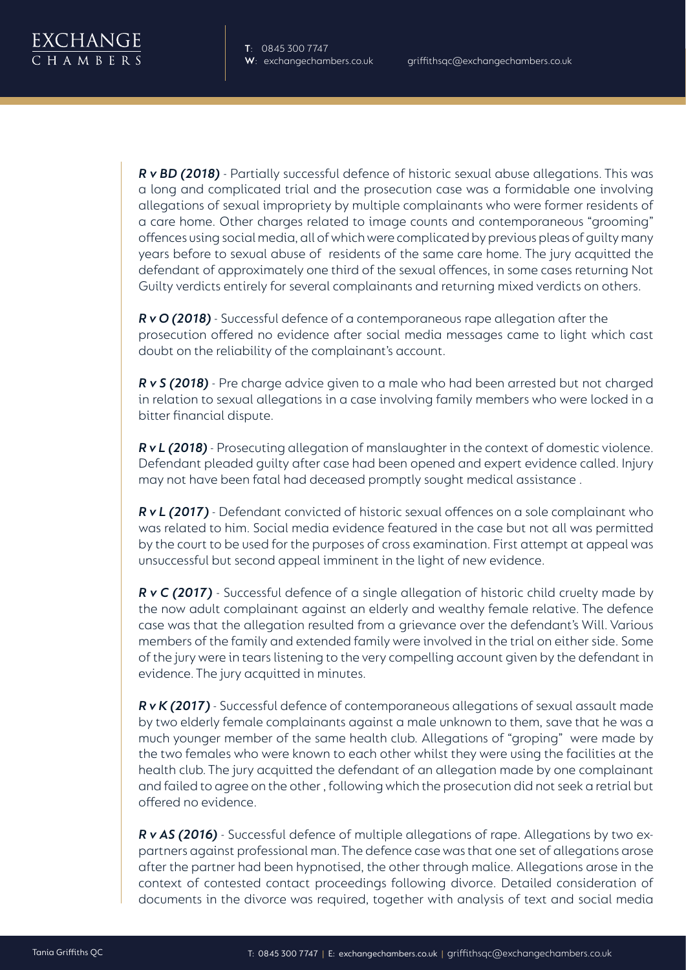*R v BD (2018)* - Partially successful defence of historic sexual abuse allegations. This was a long and complicated trial and the prosecution case was a formidable one involving allegations of sexual impropriety by multiple complainants who were former residents of a care home. Other charges related to image counts and contemporaneous "grooming" offences using social media, all of which were complicated by previous pleas of guilty many years before to sexual abuse of residents of the same care home. The jury acquitted the defendant of approximately one third of the sexual offences, in some cases returning Not Guilty verdicts entirely for several complainants and returning mixed verdicts on others.

*R v O (2018)* - Successful defence of a contemporaneous rape allegation after the prosecution offered no evidence after social media messages came to light which cast doubt on the reliability of the complainant's account.

*R v S (2018)* - Pre charge advice given to a male who had been arrested but not charged in relation to sexual allegations in a case involving family members who were locked in a bitter financial dispute.

*R v L (2018)* - Prosecuting allegation of manslaughter in the context of domestic violence. Defendant pleaded guilty after case had been opened and expert evidence called. Injury may not have been fatal had deceased promptly sought medical assistance .

*R v L (2017)* - Defendant convicted of historic sexual offences on a sole complainant who was related to him. Social media evidence featured in the case but not all was permitted by the court to be used for the purposes of cross examination. First attempt at appeal was unsuccessful but second appeal imminent in the light of new evidence.

*R v C (2017)* - Successful defence of a single allegation of historic child cruelty made by the now adult complainant against an elderly and wealthy female relative. The defence case was that the allegation resulted from a grievance over the defendant's Will. Various members of the family and extended family were involved in the trial on either side. Some of the jury were in tears listening to the very compelling account given by the defendant in evidence. The jury acquitted in minutes.

*R v K (2017)* - Successful defence of contemporaneous allegations of sexual assault made by two elderly female complainants against a male unknown to them, save that he was a much younger member of the same health club. Allegations of "groping" were made by the two females who were known to each other whilst they were using the facilities at the health club. The jury acquitted the defendant of an allegation made by one complainant and failed to agree on the other , following which the prosecution did not seek a retrial but offered no evidence.

*R v AS (2016)* - Successful defence of multiple allegations of rape. Allegations by two expartners against professional man. The defence case was that one set of allegations arose after the partner had been hypnotised, the other through malice. Allegations arose in the context of contested contact proceedings following divorce. Detailed consideration of documents in the divorce was required, together with analysis of text and social media

H A M R F R S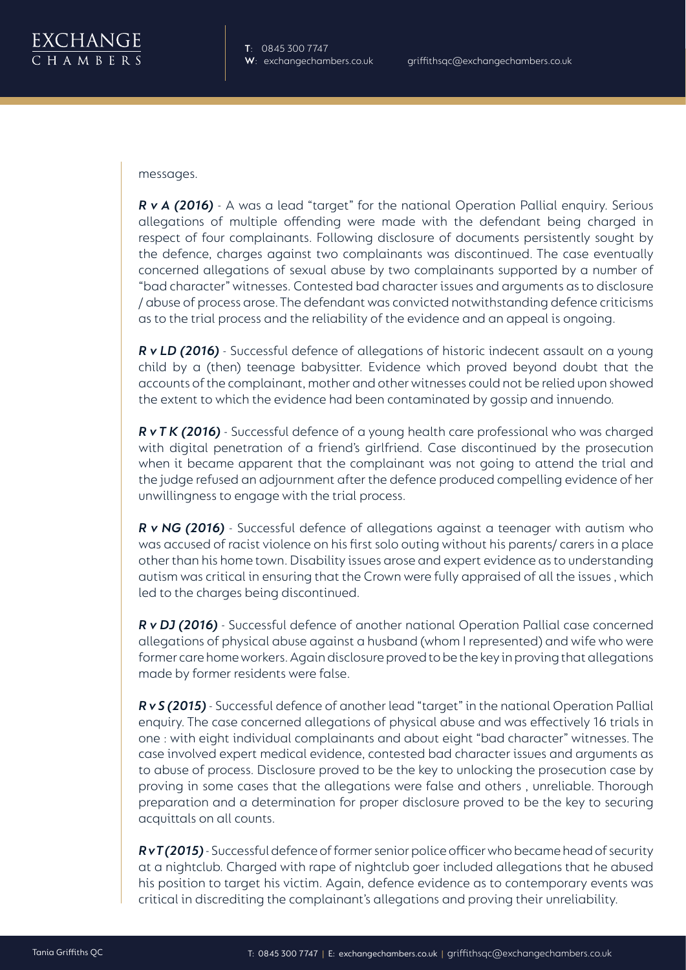

messages.

*R v A (2016)* - A was a lead "target" for the national Operation Pallial enquiry. Serious allegations of multiple offending were made with the defendant being charged in respect of four complainants. Following disclosure of documents persistently sought by the defence, charges against two complainants was discontinued. The case eventually concerned allegations of sexual abuse by two complainants supported by a number of "bad character" witnesses. Contested bad character issues and arguments as to disclosure / abuse of process arose. The defendant was convicted notwithstanding defence criticisms as to the trial process and the reliability of the evidence and an appeal is ongoing.

*R v LD (2016)* - Successful defence of allegations of historic indecent assault on a young child by a (then) teenage babysitter. Evidence which proved beyond doubt that the accounts of the complainant, mother and other witnesses could not be relied upon showed the extent to which the evidence had been contaminated by gossip and innuendo.

*R v T K (2016)* - Successful defence of a young health care professional who was charged with digital penetration of a friend's girlfriend. Case discontinued by the prosecution when it became apparent that the complainant was not going to attend the trial and the judge refused an adjournment after the defence produced compelling evidence of her unwillingness to engage with the trial process.

*R v NG (2016)* - Successful defence of allegations against a teenager with autism who was accused of racist violence on his first solo outing without his parents/ carers in a place other than his home town. Disability issues arose and expert evidence as to understanding autism was critical in ensuring that the Crown were fully appraised of all the issues , which led to the charges being discontinued.

*R v DJ (2016)* - Successful defence of another national Operation Pallial case concerned allegations of physical abuse against a husband (whom I represented) and wife who were former care home workers. Again disclosure proved to be the key in proving that allegations made by former residents were false.

*R v S (2015)* - Successful defence of another lead "target" in the national Operation Pallial enquiry. The case concerned allegations of physical abuse and was effectively 16 trials in one : with eight individual complainants and about eight "bad character" witnesses. The case involved expert medical evidence, contested bad character issues and arguments as to abuse of process. Disclosure proved to be the key to unlocking the prosecution case by proving in some cases that the allegations were false and others , unreliable. Thorough preparation and a determination for proper disclosure proved to be the key to securing acquittals on all counts.

*R v T (2015)* - Successful defence of former senior police officer who became head of security at a nightclub. Charged with rape of nightclub goer included allegations that he abused his position to target his victim. Again, defence evidence as to contemporary events was critical in discrediting the complainant's allegations and proving their unreliability.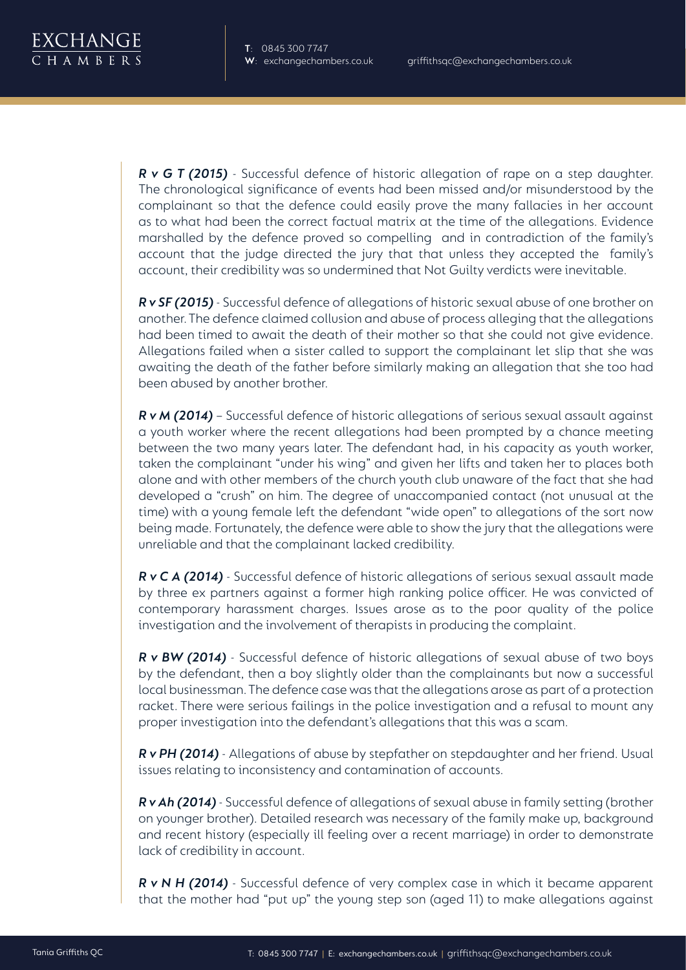*R v G T (2015)* - Successful defence of historic allegation of rape on a step daughter. The chronological significance of events had been missed and/or misunderstood by the complainant so that the defence could easily prove the many fallacies in her account as to what had been the correct factual matrix at the time of the allegations. Evidence marshalled by the defence proved so compelling and in contradiction of the family's account that the judge directed the jury that that unless they accepted the family's account, their credibility was so undermined that Not Guilty verdicts were inevitable.

*R v SF (2015)* - Successful defence of allegations of historic sexual abuse of one brother on another. The defence claimed collusion and abuse of process alleging that the allegations had been timed to await the death of their mother so that she could not give evidence. Allegations failed when a sister called to support the complainant let slip that she was awaiting the death of the father before similarly making an allegation that she too had been abused by another brother.

*R v M (2014)* – Successful defence of historic allegations of serious sexual assault against a youth worker where the recent allegations had been prompted by a chance meeting between the two many years later. The defendant had, in his capacity as youth worker, taken the complainant "under his wing" and given her lifts and taken her to places both alone and with other members of the church youth club unaware of the fact that she had developed a "crush" on him. The degree of unaccompanied contact (not unusual at the time) with a young female left the defendant "wide open" to allegations of the sort now being made. Fortunately, the defence were able to show the jury that the allegations were unreliable and that the complainant lacked credibility.

*R v C A (2014)* - Successful defence of historic allegations of serious sexual assault made by three ex partners against a former high ranking police officer. He was convicted of contemporary harassment charges. Issues arose as to the poor quality of the police investigation and the involvement of therapists in producing the complaint.

*R v BW (2014)* - Successful defence of historic allegations of sexual abuse of two boys by the defendant, then a boy slightly older than the complainants but now a successful local businessman. The defence case was that the allegations arose as part of a protection racket. There were serious failings in the police investigation and a refusal to mount any proper investigation into the defendant's allegations that this was a scam.

*R v PH (2014)* - Allegations of abuse by stepfather on stepdaughter and her friend. Usual issues relating to inconsistency and contamination of accounts.

*R v Ah (2014)* - Successful defence of allegations of sexual abuse in family setting (brother on younger brother). Detailed research was necessary of the family make up, background and recent history (especially ill feeling over a recent marriage) in order to demonstrate lack of credibility in account.

*R v N H (2014)* - Successful defence of very complex case in which it became apparent that the mother had "put up" the young step son (aged 11) to make allegations against

H A M R F R S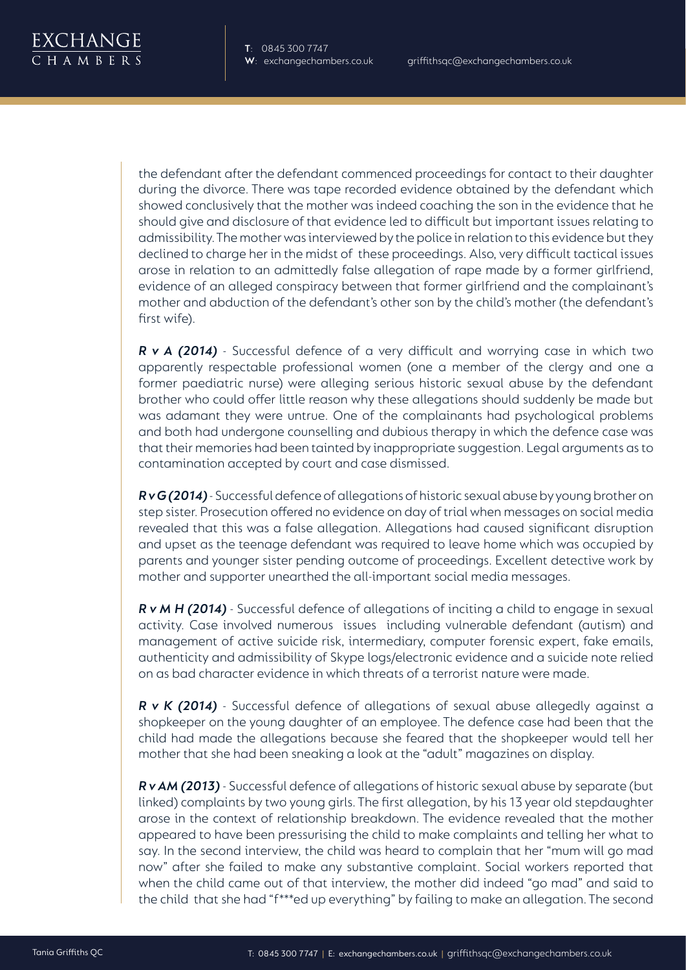the defendant after the defendant commenced proceedings for contact to their daughter during the divorce. There was tape recorded evidence obtained by the defendant which showed conclusively that the mother was indeed coaching the son in the evidence that he should give and disclosure of that evidence led to difficult but important issues relating to admissibility. The mother was interviewed by the police in relation to this evidence but they declined to charge her in the midst of these proceedings. Also, very difficult tactical issues arose in relation to an admittedly false allegation of rape made by a former girlfriend, evidence of an alleged conspiracy between that former girlfriend and the complainant's mother and abduction of the defendant's other son by the child's mother (the defendant's first wife).

*R v A (2014)* - Successful defence of a very difficult and worrying case in which two apparently respectable professional women (one a member of the clergy and one a former paediatric nurse) were alleging serious historic sexual abuse by the defendant brother who could offer little reason why these allegations should suddenly be made but was adamant they were untrue. One of the complainants had psychological problems and both had undergone counselling and dubious therapy in which the defence case was that their memories had been tainted by inappropriate suggestion. Legal arguments as to contamination accepted by court and case dismissed.

*R v G (2014)* - Successful defence of allegations of historic sexual abuse by young brother on step sister. Prosecution offered no evidence on day of trial when messages on social media revealed that this was a false allegation. Allegations had caused significant disruption and upset as the teenage defendant was required to leave home which was occupied by parents and younger sister pending outcome of proceedings. Excellent detective work by mother and supporter unearthed the all-important social media messages.

*R v M H (2014)* - Successful defence of allegations of inciting a child to engage in sexual activity. Case involved numerous issues including vulnerable defendant (autism) and management of active suicide risk, intermediary, computer forensic expert, fake emails, authenticity and admissibility of Skype logs/electronic evidence and a suicide note relied on as bad character evidence in which threats of a terrorist nature were made.

*R v K (2014)* - Successful defence of allegations of sexual abuse allegedly against a shopkeeper on the young daughter of an employee. The defence case had been that the child had made the allegations because she feared that the shopkeeper would tell her mother that she had been sneaking a look at the "adult" magazines on display.

*R v AM (2013)* - Successful defence of allegations of historic sexual abuse by separate (but linked) complaints by two young girls. The first allegation, by his 13 year old stepdaughter arose in the context of relationship breakdown. The evidence revealed that the mother appeared to have been pressurising the child to make complaints and telling her what to say. In the second interview, the child was heard to complain that her "mum will go mad now" after she failed to make any substantive complaint. Social workers reported that when the child came out of that interview, the mother did indeed "go mad" and said to the child that she had "f\*\*\*ed up everything" by failing to make an allegation. The second

H A M R F R S